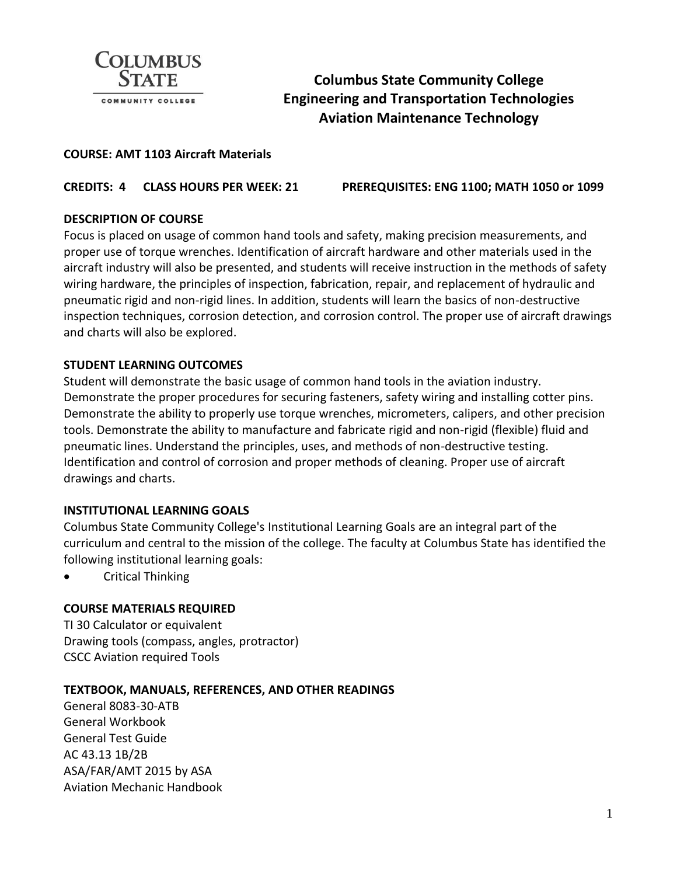

# **Columbus State Community College Engineering and Transportation Technologies Aviation Maintenance Technology**

#### **COURSE: AMT 1103 Aircraft Materials**

**CREDITS: 4 CLASS HOURS PER WEEK: 21 PREREQUISITES: ENG 1100; MATH 1050 or 1099**

### **DESCRIPTION OF COURSE**

Focus is placed on usage of common hand tools and safety, making precision measurements, and proper use of torque wrenches. Identification of aircraft hardware and other materials used in the aircraft industry will also be presented, and students will receive instruction in the methods of safety wiring hardware, the principles of inspection, fabrication, repair, and replacement of hydraulic and pneumatic rigid and non-rigid lines. In addition, students will learn the basics of non-destructive inspection techniques, corrosion detection, and corrosion control. The proper use of aircraft drawings and charts will also be explored.

#### **STUDENT LEARNING OUTCOMES**

Student will demonstrate the basic usage of common hand tools in the aviation industry. Demonstrate the proper procedures for securing fasteners, safety wiring and installing cotter pins. Demonstrate the ability to properly use torque wrenches, micrometers, calipers, and other precision tools. Demonstrate the ability to manufacture and fabricate rigid and non-rigid (flexible) fluid and pneumatic lines. Understand the principles, uses, and methods of non-destructive testing. Identification and control of corrosion and proper methods of cleaning. Proper use of aircraft drawings and charts.

## **INSTITUTIONAL LEARNING GOALS**

Columbus State Community College's Institutional Learning Goals are an integral part of the curriculum and central to the mission of the college. The faculty at Columbus State has identified the following institutional learning goals:

• Critical Thinking

## **COURSE MATERIALS REQUIRED**

TI 30 Calculator or equivalent Drawing tools (compass, angles, protractor) CSCC Aviation required Tools

#### **TEXTBOOK, MANUALS, REFERENCES, AND OTHER READINGS**

General 8083-30-ATB General Workbook General Test Guide AC 43.13 1B/2B ASA/FAR/AMT 2015 by ASA Aviation Mechanic Handbook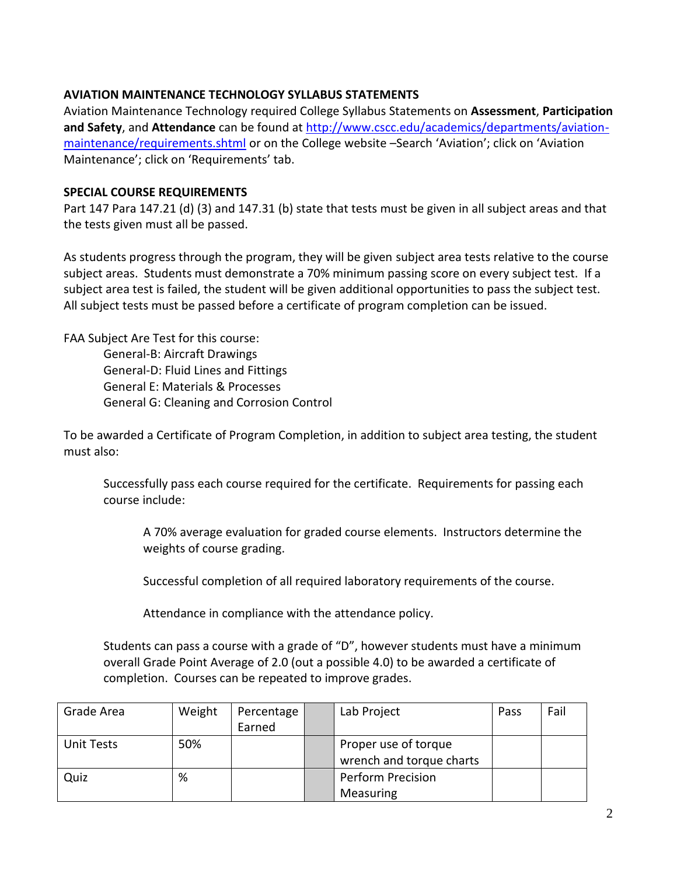## **AVIATION MAINTENANCE TECHNOLOGY SYLLABUS STATEMENTS**

Aviation Maintenance Technology required College Syllabus Statements on **Assessment**, **Participation and Safety**, and **Attendance** can be found a[t http://www.cscc.edu/academics/departments/aviation](http://www.cscc.edu/academics/departments/aviation-maintenance/requirements.shtml)[maintenance/requirements.shtml](http://www.cscc.edu/academics/departments/aviation-maintenance/requirements.shtml) or on the College website –Search 'Aviation'; click on 'Aviation Maintenance'; click on 'Requirements' tab.

#### **SPECIAL COURSE REQUIREMENTS**

Part 147 Para 147.21 (d) (3) and 147.31 (b) state that tests must be given in all subject areas and that the tests given must all be passed.

As students progress through the program, they will be given subject area tests relative to the course subject areas. Students must demonstrate a 70% minimum passing score on every subject test. If a subject area test is failed, the student will be given additional opportunities to pass the subject test. All subject tests must be passed before a certificate of program completion can be issued.

FAA Subject Are Test for this course: General-B: Aircraft Drawings General-D: Fluid Lines and Fittings General E: Materials & Processes General G: Cleaning and Corrosion Control

To be awarded a Certificate of Program Completion, in addition to subject area testing, the student must also:

Successfully pass each course required for the certificate. Requirements for passing each course include:

A 70% average evaluation for graded course elements. Instructors determine the weights of course grading.

Successful completion of all required laboratory requirements of the course.

Attendance in compliance with the attendance policy.

Students can pass a course with a grade of "D", however students must have a minimum overall Grade Point Average of 2.0 (out a possible 4.0) to be awarded a certificate of completion. Courses can be repeated to improve grades.

| Grade Area        | Weight | Percentage | Lab Project              | Pass | Fail |
|-------------------|--------|------------|--------------------------|------|------|
|                   |        | Earned     |                          |      |      |
| <b>Unit Tests</b> | 50%    |            | Proper use of torque     |      |      |
|                   |        |            | wrench and torque charts |      |      |
| Quiz              | %      |            | <b>Perform Precision</b> |      |      |
|                   |        |            | Measuring                |      |      |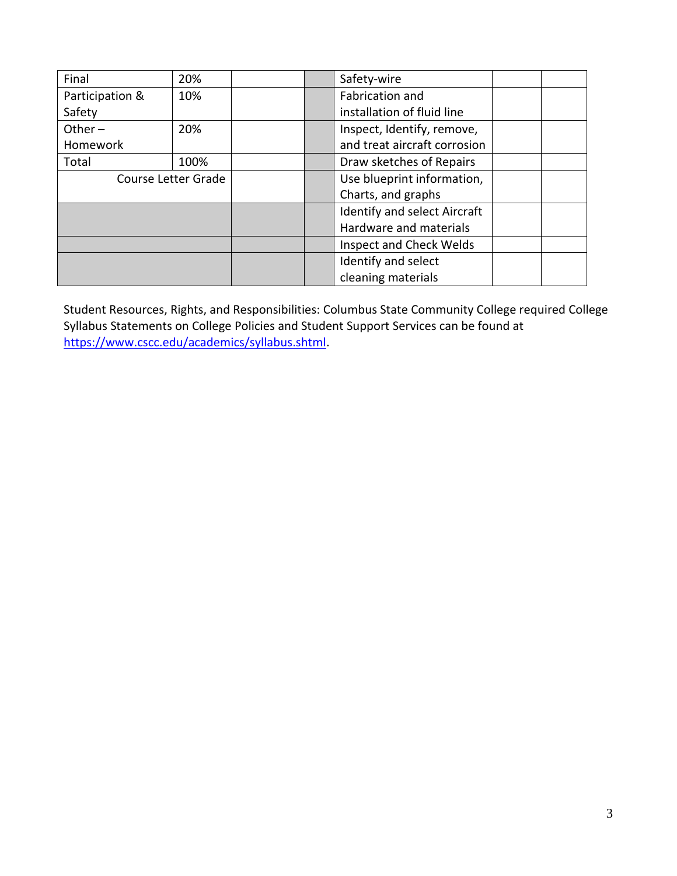| Final               | 20%  |  |                            | Safety-wire                         |  |  |
|---------------------|------|--|----------------------------|-------------------------------------|--|--|
| Participation &     | 10%  |  |                            | Fabrication and                     |  |  |
| Safety              |      |  |                            | installation of fluid line          |  |  |
| Other $-$           | 20%  |  | Inspect, Identify, remove, |                                     |  |  |
| Homework            |      |  |                            | and treat aircraft corrosion        |  |  |
| Total               | 100% |  |                            | Draw sketches of Repairs            |  |  |
| Course Letter Grade |      |  | Use blueprint information, |                                     |  |  |
|                     |      |  |                            | Charts, and graphs                  |  |  |
|                     |      |  |                            | <b>Identify and select Aircraft</b> |  |  |
|                     |      |  |                            | Hardware and materials              |  |  |
|                     |      |  |                            | <b>Inspect and Check Welds</b>      |  |  |
|                     |      |  |                            | Identify and select                 |  |  |
|                     |      |  |                            | cleaning materials                  |  |  |

Student Resources, Rights, and Responsibilities: Columbus State Community College required College Syllabus Statements on College Policies and Student Support Services can be found at [https://www.cscc.edu/academics/syllabus.shtml.](https://www.cscc.edu/academics/syllabus.shtml)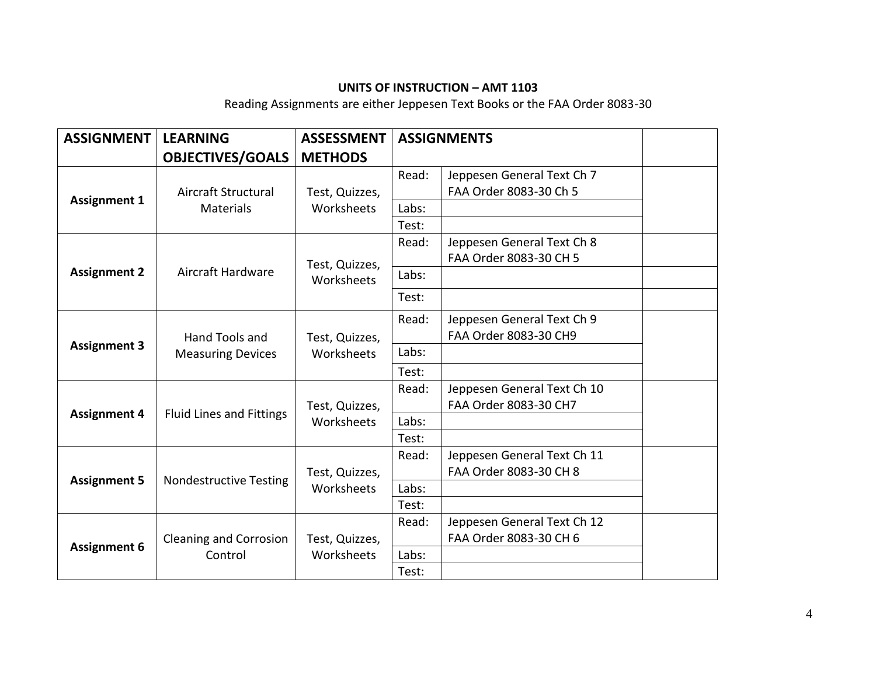# **UNITS OF INSTRUCTION – AMT 1103**

Reading Assignments are either Jeppesen Text Books or the FAA Order 8083-30

| <b>ASSIGNMENT</b>   | <b>LEARNING</b>                            | <b>ASSESSMENT</b>            | <b>ASSIGNMENTS</b> |                                                      |  |
|---------------------|--------------------------------------------|------------------------------|--------------------|------------------------------------------------------|--|
|                     | <b>OBJECTIVES/GOALS</b>                    | <b>METHODS</b>               |                    |                                                      |  |
| <b>Assignment 1</b> | Aircraft Structural<br><b>Materials</b>    | Test, Quizzes,<br>Worksheets | Read:              | Jeppesen General Text Ch 7<br>FAA Order 8083-30 Ch 5 |  |
|                     |                                            |                              | Labs:              |                                                      |  |
|                     |                                            |                              | Test:              |                                                      |  |
| <b>Assignment 2</b> | Aircraft Hardware                          | Test, Quizzes,<br>Worksheets | Read:              | Jeppesen General Text Ch 8<br>FAA Order 8083-30 CH 5 |  |
|                     |                                            |                              | Labs:              |                                                      |  |
|                     |                                            |                              | Test:              |                                                      |  |
| <b>Assignment 3</b> | Hand Tools and<br><b>Measuring Devices</b> | Test, Quizzes,<br>Worksheets | Read:              | Jeppesen General Text Ch 9                           |  |
|                     |                                            |                              |                    | FAA Order 8083-30 CH9                                |  |
|                     |                                            |                              | Labs:              |                                                      |  |
|                     |                                            |                              | Test:              |                                                      |  |
|                     | <b>Fluid Lines and Fittings</b>            | Test, Quizzes,<br>Worksheets | Read:              | Jeppesen General Text Ch 10                          |  |
| <b>Assignment 4</b> |                                            |                              |                    | FAA Order 8083-30 CH7                                |  |
|                     |                                            |                              | Labs:              |                                                      |  |
|                     |                                            |                              | Test:              |                                                      |  |
| <b>Assignment 5</b> | <b>Nondestructive Testing</b>              | Test, Quizzes,<br>Worksheets | Read:              | Jeppesen General Text Ch 11                          |  |
|                     |                                            |                              |                    | FAA Order 8083-30 CH 8                               |  |
|                     |                                            |                              | Labs:<br>Test:     |                                                      |  |
| <b>Assignment 6</b> | <b>Cleaning and Corrosion</b><br>Control   | Test, Quizzes,<br>Worksheets | Read:              | Jeppesen General Text Ch 12                          |  |
|                     |                                            |                              |                    | FAA Order 8083-30 CH 6                               |  |
|                     |                                            |                              | Labs:              |                                                      |  |
|                     |                                            |                              | Test:              |                                                      |  |